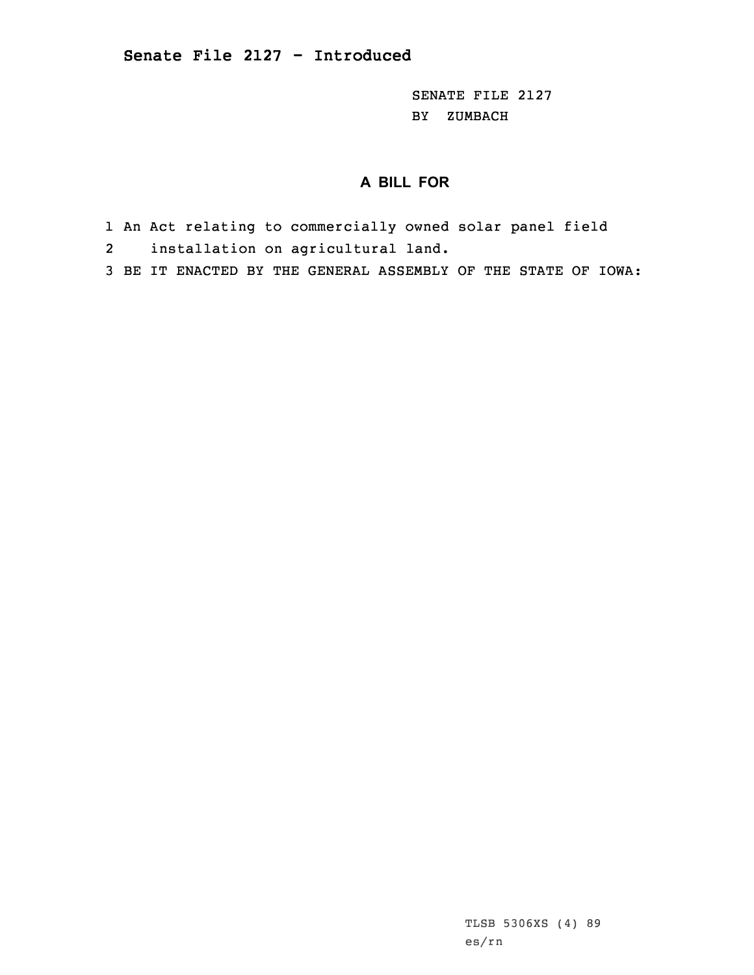SENATE FILE 2127 BY ZUMBACH

## **A BILL FOR**

- 1 An Act relating to commercially owned solar panel field
- 2installation on agricultural land.
- 3 BE IT ENACTED BY THE GENERAL ASSEMBLY OF THE STATE OF IOWA: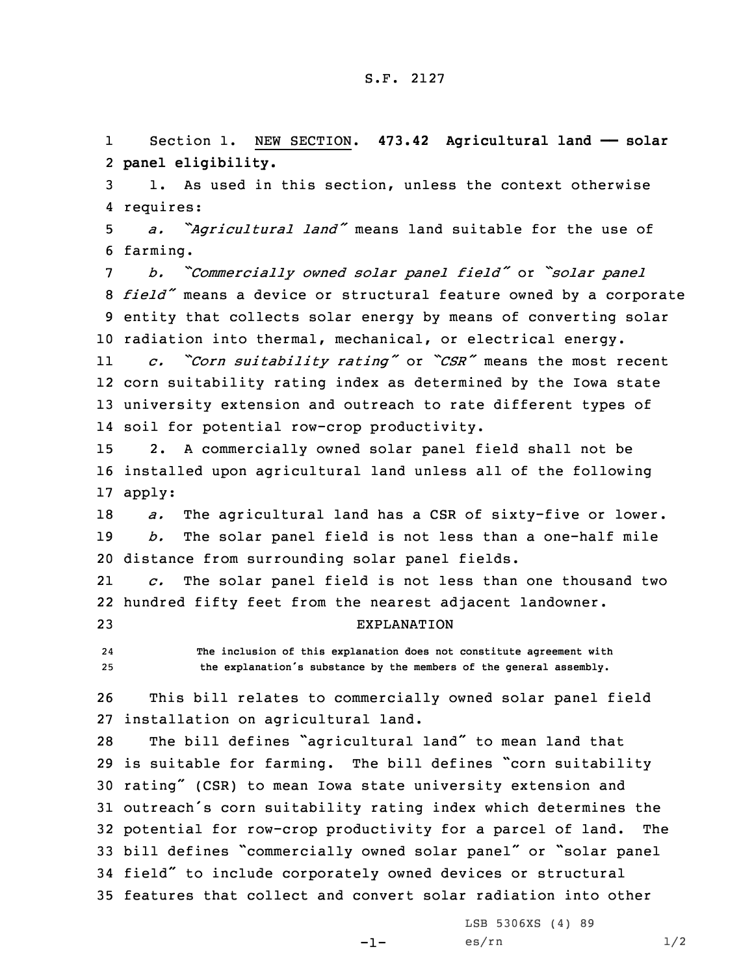1 Section 1. NEW SECTION. **473.42 Agricultural land —— solar** 2 **panel eligibility.**

3 1. As used in this section, unless the context otherwise 4 requires:

<sup>5</sup> *a. "Agricultural land"* means land suitable for the use of 6 farming.

 *b. "Commercially owned solar panel field"* or *"solar panel field"* means <sup>a</sup> device or structural feature owned by <sup>a</sup> corporate entity that collects solar energy by means of converting solar radiation into thermal, mechanical, or electrical energy.

11 *c. "Corn suitability rating"* or *"CSR"* means the most recent 12 corn suitability rating index as determined by the Iowa state 13 university extension and outreach to rate different types of 14 soil for potential row-crop productivity.

15 2. <sup>A</sup> commercially owned solar panel field shall not be 16 installed upon agricultural land unless all of the following 17 apply:

18 *a.* The agricultural land has <sup>a</sup> CSR of sixty-five or lower. 19 *b.* The solar panel field is not less than <sup>a</sup> one-half mile 20 distance from surrounding solar panel fields.

21 *c.* The solar panel field is not less than one thousand two 22 hundred fifty feet from the nearest adjacent landowner. 23 EXPLANATION

24 **The inclusion of this explanation does not constitute agreement with** <sup>25</sup> **the explanation's substance by the members of the general assembly.**

26 This bill relates to commercially owned solar panel field 27 installation on agricultural land.

 The bill defines "agricultural land" to mean land that is suitable for farming. The bill defines "corn suitability rating" (CSR) to mean Iowa state university extension and outreach's corn suitability rating index which determines the potential for row-crop productivity for <sup>a</sup> parcel of land. The bill defines "commercially owned solar panel" or "solar panel field" to include corporately owned devices or structural features that collect and convert solar radiation into other

-1-

LSB 5306XS (4) 89  $\text{es}/\text{rn}$  1/2